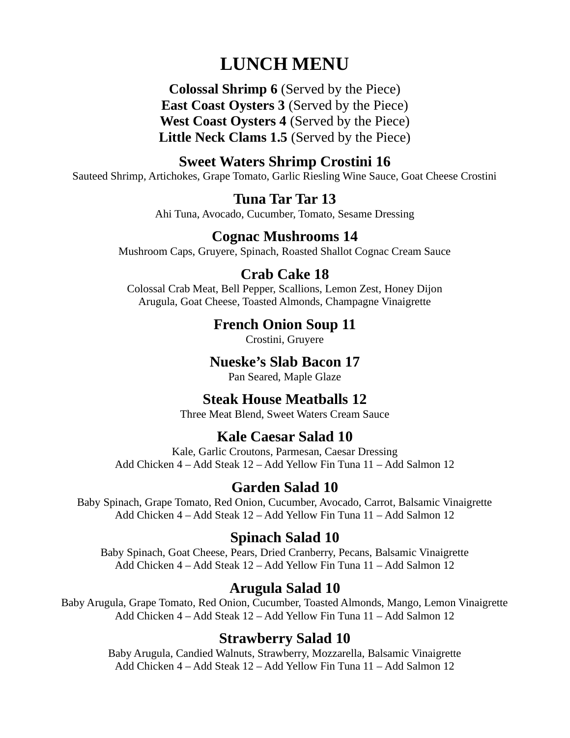# LUNCH MENU

Colossal Shrimp 6 (Served by the Piece) East Coast Oysters 3 (Served by the Piece) West Coast Oysters 4 (Served by the Piece) Little Neck Clams 1.5 (Served by the Piece)

# Sweet Waters Shrimp Crostini 16

Sauteed Shrimp, Artichokes, Grape Tomato, Garlic Riesling Wine Sauce, Goat Cheese Crostini

## Tuna Tar Tar 13

Ahi Tuna, Avocado, Cucumber, Tomato, Sesame Dressing

## Cognac Mushrooms 14

Mushroom Caps, Gruyere, Spinach, Roasted Shallot Cognac Cream Sauce

#### Crab Cake 18

Colossal Crab Meat, Bell Pepper, Scallions, Lemon Zest, Honey Dijon Arugula, Goat Cheese, Toasted Almonds, Champagne Vinaigrette

## French Onion Soup 11

Crostini, Gruyere

#### Nueske's Slab Bacon 17

Pan Seared, Maple Glaze

#### Steak House Meatballs 12

Three Meat Blend, Sweet Waters Cream Sauce

## Kale Caesar Salad 10

Kale, Garlic Croutons, Parmesan, Caesar Dressing Add Chicken 4 – Add Steak 12 – Add Yellow Fin Tuna 11 – Add Salmon 12

## Garden Salad 10

Baby Spinach, Grape Tomato, Red Onion, Cucumber, Avocado, Carrot, Balsamic Vinaigrette Add Chicken 4 – Add Steak 12 – Add Yellow Fin Tuna 11 – Add Salmon 12

#### Spinach Salad 10

Baby Spinach, Goat Cheese, Pears, Dried Cranberry, Pecans, Balsamic Vinaigrette Add Chicken 4 – Add Steak 12 – Add Yellow Fin Tuna 11 – Add Salmon 12

# Arugula Salad 10

Baby Arugula, Grape Tomato, Red Onion, Cucumber, Toasted Almonds, Mango, Lemon Vinaigrette Add Chicken 4 – Add Steak 12 – Add Yellow Fin Tuna 11 – Add Salmon 12

## Strawberry Salad 10

Baby Arugula, Candied Walnuts, Strawberry, Mozzarella, Balsamic Vinaigrette Add Chicken 4 – Add Steak 12 – Add Yellow Fin Tuna 11 – Add Salmon 12